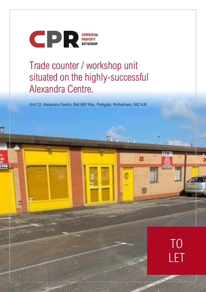

Œ

# Trade counter / workshop unit situated on the highly-successful Alexandra Centre.

Unit 22, Alexandra Centre, Rail Mill Way, Parkgate, Rotherham, S62 6JE.

T.

M

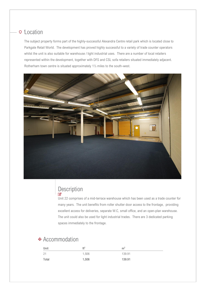## **Location**

The subject property forms part of the highly-successful Alexandra Centre retail park which is located close to Parkgate Retail World. The development has proved highly successful to a variety of trade counter operators whilst the unit is also suitable for warehouse / light industrial uses. There are a number of local retailers represented within the development, together with DFS and CSL sofa retailers situated immediately adjacent. Rotherham town centre is situated approximately 1½ miles to the south-west.



## Description

Unit 22 comprises of a mid-terrace warehouse which has been used as a trade counter for many years. The unit benefits from roller shutter door access to the frontage, providing excellent access for deliveries, separate W.C, small office, and an open-plan warehouse. The unit could also be used for light industrial trades. There are 3 dedicated parking spaces immediately to the frontage.

#### $\triangle$  Accommodation

| Unit  | ft <sup>2</sup> | m <sup>2</sup> |
|-------|-----------------|----------------|
| 21    | 1,506           | 139.91         |
| Total | 1,506           | 139.91         |